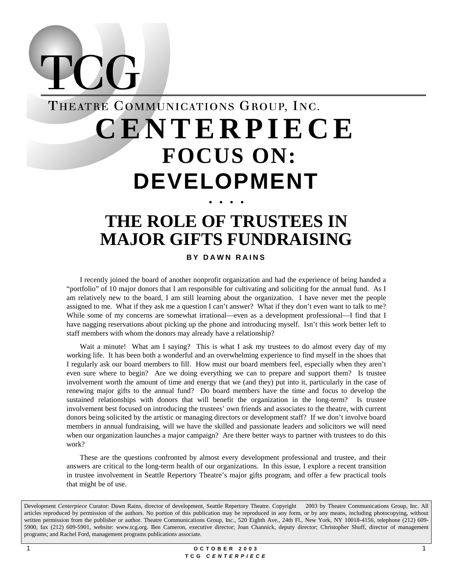# THEATRE COMMUNICATIONS GROUP, INC. **CENTERPIECE FOCUS ON: DEVELOPMENT** • • • •

 $\sum$ 

# **THE ROLE OF TRUSTEES IN MAJOR GIFTS FUNDRAISING**

### **BY DAWN RAINS**

I recently joined the board of another nonprofit organization and had the experience of being handed a "portfolio" of 10 major donors that I am responsible for cultivating and soliciting for the annual fund. As I am relatively new to the board, I am still learning about the organization. I have never met the people assigned to me. What if they ask me a question I can't answer? What if they don't even want to talk to me? While some of my concerns are somewhat irrational—even as a development professional—I find that I have nagging reservations about picking up the phone and introducing myself. Isn't this work better left to staff members with whom the donors may already have a relationship?

Wait a minute! What am I saying? This is what I ask my trustees to do almost every day of my working life. It has been both a wonderful and an overwhelming experience to find myself in the shoes that I regularly ask our board members to fill. How must our board members feel, especially when they aren't even sure where to begin? Are we doing everything we can to prepare and support them? Is trustee involvement worth the amount of time and energy that we (and they) put into it, particularly in the case of renewing major gifts to the annual fund? Do board members have the time and focus to develop the sustained relationships with donors that will benefit the organization in the long-term? Is trustee involvement best focused on introducing the trustees' own friends and associates to the theatre, with current donors being solicited by the artistic or managing directors or development staff? If we don't involve board members in annual fundraising, will we have the skilled and passionate leaders and solicitors we will need when our organization launches a major campaign? Are there better ways to partner with trustees to do this work?

These are the questions confronted by almost every development professional and trustee, and their answers are critical to the long-term health of our organizations. In this issue, I explore a recent transition in trustee involvement in Seattle Repertory Theatre's major gifts program, and offer a few practical tools that might be of use.

Development *Centerpiece* Curator: Dawn Rains, director of development, Seattle Repertory Theatre. Copyright © 2003 by Theatre Communications Group, Inc. All articles reproduced by permission of the authors. No portion of this publication may be reproduced in any form, or by any means, including photocopying, without written permission from the publisher or author. Theatre Communications Group, Inc., 520 Eighth Ave., 24th Fl., New York, NY 10018-4156, telephone (212) 609-5900, fax (212) 609-5901, website: www.tcg.org. Ben Cameron, executive director; Joan Channick, deputy director; Christopher Shuff, director of management programs; and Rachel Ford, management programs publications associate.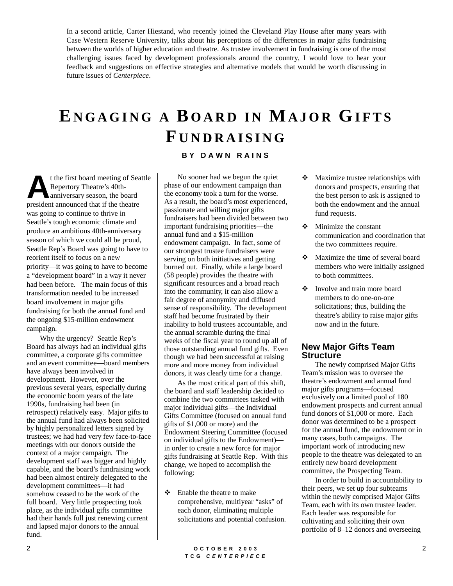In a second article, Carter Hiestand, who recently joined the Cleveland Play House after many years with Case Western Reserve University, talks about his perceptions of the differences in major gifts fundraising between the worlds of higher education and theatre. As trustee involvement in fundraising is one of the most challenging issues faced by development professionals around the country, I would love to hear your feedback and suggestions on effective strategies and alternative models that would be worth discussing in future issues of *Centerpiece*.

# **E NGAGING A B OARD IN MAJOR GIFTS F UNDRAISING**

#### **BY DAWN RAINS**

t the first board meeting of Seattle Repertory Theatre's 40thanniversary season, the board t the first board meeting of Sea<br>Repertory Theatre's 40th-<br>anniversary season, the board<br>president announced that if the theatre was going to continue to thrive in Seattle's tough economic climate and produce an ambitious 40th-anniversary season of which we could all be proud, Seattle Rep's Board was going to have to reorient itself to focus on a new priority—it was going to have to become a "development board" in a way it never had been before. The main focus of this transformation needed to be increased board involvement in major gifts fundraising for both the annual fund and the ongoing \$15-million endowment campaign.

Why the urgency? Seattle Rep's Board has always had an individual gifts committee, a corporate gifts committee and an event committee—board members have always been involved in development. However, over the previous several years, especially during the economic boom years of the late 1990s, fundraising had been (in retrospect) relatively easy. Major gifts to the annual fund had always been solicited by highly personalized letters signed by trustees; we had had very few face-to-face meetings with our donors outside the context of a major campaign. The development staff was bigger and highly capable, and the board's fundraising work had been almost entirely delegated to the development committees—it had somehow ceased to be the work of the full board. Very little prospecting took place, as the individual gifts committee had their hands full just renewing current and lapsed major donors to the annual fund.

No sooner had we begun the quiet phase of our endowment campaign than the economy took a turn for the worse. As a result, the board's most experienced, passionate and willing major gifts fundraisers had been divided between two important fundraising priorities—the annual fund and a \$15-million endowment campaign. In fact, some of our strongest trustee fundraisers were serving on both initiatives and getting burned out. Finally, while a large board (58 people) provides the theatre with significant resources and a broad reach into the community, it can also allow a fair degree of anonymity and diffused sense of responsibility. The development staff had become frustrated by their inability to hold trustees accountable, and the annual scramble during the final weeks of the fiscal year to round up all of those outstanding annual fund gifts. Even though we had been successful at raising more and more money from individual donors, it was clearly time for a change.

As the most critical part of this shift, the board and staff leadership decided to combine the two committees tasked with major individual gifts—the Individual Gifts Committee (focused on annual fund gifts of \$1,000 or more) and the Endowment Steering Committee (focused on individual gifts to the Endowment) in order to create a new force for major gifts fundraising at Seattle Rep. With this change, we hoped to accomplish the following:

! Enable the theatre to make comprehensive, multiyear "asks" of each donor, eliminating multiple solicitations and potential confusion.

- Maximize trustee relationships with donors and prospects, ensuring that the best person to ask is assigned to both the endowment and the annual fund requests.
- $\div$  Minimize the constant communication and coordination that the two committees require.
- Maximize the time of several board members who were initially assigned to both committees.
- ! Involve and train more board members to do one-on-one solicitations; thus, building the theatre's ability to raise major gifts now and in the future.

### **New Major Gifts Team Structure**

The newly comprised Major Gifts Team's mission was to oversee the theatre's endowment and annual fund major gifts programs—focused exclusively on a limited pool of 180 endowment prospects and current annual fund donors of \$1,000 or more. Each donor was determined to be a prospect for the annual fund, the endowment or in many cases, both campaigns. The important work of introducing new people to the theatre was delegated to an entirely new board development committee, the Prospecting Team.

In order to build in accountability to their peers, we set up four subteams within the newly comprised Major Gifts Team, each with its own trustee leader. Each leader was responsible for cultivating and soliciting their own portfolio of 8–12 donors and overseeing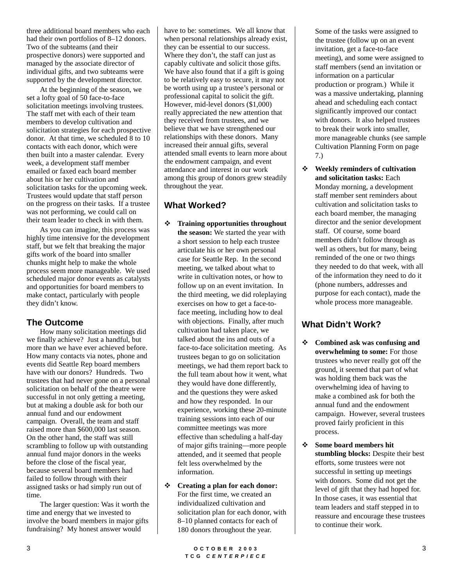three additional board members who each had their own portfolios of 8–12 donors. Two of the subteams (and their prospective donors) were supported and managed by the associate director of individual gifts, and two subteams were supported by the development director.

At the beginning of the season, we set a lofty goal of 50 face-to-face solicitation meetings involving trustees. The staff met with each of their team members to develop cultivation and solicitation strategies for each prospective donor. At that time, we scheduled 8 to 10 contacts with each donor, which were then built into a master calendar. Every week, a development staff member emailed or faxed each board member about his or her cultivation and solicitation tasks for the upcoming week. Trustees would update that staff person on the progress on their tasks. If a trustee was not performing, we could call on their team leader to check in with them.

As you can imagine, this process was highly time intensive for the development staff, but we felt that breaking the major gifts work of the board into smaller chunks might help to make the whole process seem more manageable. We used scheduled major donor events as catalysts and opportunities for board members to make contact, particularly with people they didn't know.

### **The Outcome**

How many solicitation meetings did we finally achieve? Just a handful, but more than we have ever achieved before. How many contacts via notes, phone and events did Seattle Rep board members have with our donors? Hundreds. Two trustees that had never gone on a personal solicitation on behalf of the theatre were successful in not only getting a meeting, but at making a double ask for both our annual fund and our endowment campaign. Overall, the team and staff raised more than \$600,000 last season. On the other hand, the staff was still scrambling to follow up with outstanding annual fund major donors in the weeks before the close of the fiscal year, because several board members had failed to follow through with their assigned tasks or had simply run out of time.

The larger question: Was it worth the time and energy that we invested to involve the board members in major gifts fundraising? My honest answer would

have to be: sometimes. We all know that when personal relationships already exist, they can be essential to our success. Where they don't, the staff can just as capably cultivate and solicit those gifts. We have also found that if a gift is going to be relatively easy to secure, it may not be worth using up a trustee's personal or professional capital to solicit the gift. However, mid-level donors (\$1,000) really appreciated the new attention that they received from trustees, and we believe that we have strengthened our relationships with these donors. Many increased their annual gifts, several attended small events to learn more about the endowment campaign, and event attendance and interest in our work among this group of donors grew steadily throughout the year.

## **What Worked?**

- ! **Training opportunities throughout the season:** We started the year with a short session to help each trustee articulate his or her own personal case for Seattle Rep. In the second meeting, we talked about what to write in cultivation notes, or how to follow up on an event invitation. In the third meeting, we did roleplaying exercises on how to get a face-toface meeting, including how to deal with objections. Finally, after much cultivation had taken place, we talked about the ins and outs of a face-to-face solicitation meeting. As trustees began to go on solicitation meetings, we had them report back to the full team about how it went, what they would have done differently, and the questions they were asked and how they responded. In our experience, working these 20-minute training sessions into each of our committee meetings was more effective than scheduling a half-day of major gifts training—more people attended, and it seemed that people felt less overwhelmed by the information.
- ! **Creating a plan for each donor:** For the first time, we created an individualized cultivation and solicitation plan for each donor, with 8–10 planned contacts for each of 180 donors throughout the year.

Some of the tasks were assigned to the trustee (follow up on an event invitation, get a face-to-face meeting), and some were assigned to staff members (send an invitation or information on a particular production or program.) While it was a massive undertaking, planning ahead and scheduling each contact significantly improved our contact with donors. It also helped trustees to break their work into smaller, more manageable chunks (see sample Cultivation Planning Form on page 7.)

! **Weekly reminders of cultivation and solicitation tasks:** Each Monday morning, a development staff member sent reminders about cultivation and solicitation tasks to each board member, the managing director and the senior development staff. Of course, some board members didn't follow through as well as others, but for many, being reminded of the one or two things they needed to do that week, with all of the information they need to do it (phone numbers, addresses and purpose for each contact), made the whole process more manageable.

## **What Didn't Work?**

- ! **Combined ask was confusing and overwhelming to some:** For those trustees who never really got off the ground, it seemed that part of what was holding them back was the overwhelming idea of having to make a combined ask for both the annual fund and the endowment campaign. However, several trustees proved fairly proficient in this process.
- ! **Some board members hit stumbling blocks:** Despite their best efforts, some trustees were not successful in setting up meetings with donors. Some did not get the level of gift that they had hoped for. In those cases, it was essential that team leaders and staff stepped in to reassure and encourage these trustees to continue their work.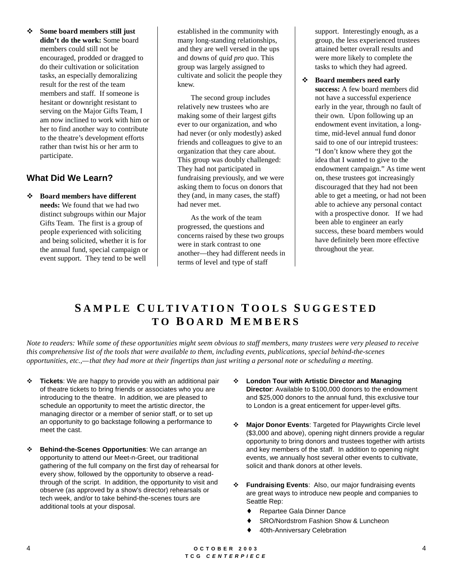! **Some board members still just didn't do the work:** Some board members could still not be encouraged, prodded or dragged to do their cultivation or solicitation tasks, an especially demoralizing result for the rest of the team members and staff. If someone is hesitant or downright resistant to serving on the Major Gifts Team, I am now inclined to work with him or her to find another way to contribute to the theatre's development efforts rather than twist his or her arm to participate.

## **What Did We Learn?**

! **Board members have different needs:** We found that we had two distinct subgroups within our Major Gifts Team. The first is a group of people experienced with soliciting and being solicited, whether it is for the annual fund, special campaign or event support. They tend to be well

established in the community with many long-standing relationships, and they are well versed in the ups and downs of *quid pro quo*. This group was largely assigned to cultivate and solicit the people they knew.

The second group includes relatively new trustees who are making some of their largest gifts ever to our organization, and who had never (or only modestly) asked friends and colleagues to give to an organization that they care about. This group was doubly challenged: They had not participated in fundraising previously, and we were asking them to focus on donors that they (and, in many cases, the staff) had never met.

As the work of the team progressed, the questions and concerns raised by these two groups were in stark contrast to one another—they had different needs in terms of level and type of staff

support. Interestingly enough, as a group, the less experienced trustees attained better overall results and were more likely to complete the tasks to which they had agreed.

! **Board members need early success:** A few board members did not have a successful experience early in the year, through no fault of their own. Upon following up an endowment event invitation, a longtime, mid-level annual fund donor said to one of our intrepid trustees: "I don't know where they got the idea that I wanted to give to the endowment campaign." As time went on, these trustees got increasingly discouraged that they had not been able to get a meeting, or had not been able to achieve any personal contact with a prospective donor. If we had been able to engineer an early success, these board members would have definitely been more effective throughout the year.

## **S AMPLE C ULTIVATION T OOLS S UGGESTED TO B OARD M EMBERS**

*Note to readers: While some of these opportunities might seem obvious to staff members, many trustees were very pleased to receive this comprehensive list of the tools that were available to them, including events, publications, special behind-the-scenes opportunities, etc.,—that they had more at their fingertips than just writing a personal note or scheduling a meeting.*

- **Tickets:** We are happy to provide you with an additional pair of theatre tickets to bring friends or associates who you are introducing to the theatre. In addition, we are pleased to schedule an opportunity to meet the artistic director, the managing director or a member of senior staff, or to set up an opportunity to go backstage following a performance to meet the cast.
- ! **Behind-the-Scenes Opportunities**: We can arrange an opportunity to attend our Meet-n-Greet, our traditional gathering of the full company on the first day of rehearsal for every show, followed by the opportunity to observe a readthrough of the script. In addition, the opportunity to visit and observe (as approved by a show's director) rehearsals or tech week, and/or to take behind-the-scenes tours are additional tools at your disposal.
- ! **London Tour with Artistic Director and Managing Director**: Available to \$100,000 donors to the endowment and \$25,000 donors to the annual fund, this exclusive tour to London is a great enticement for upper-level gifts.
- ! **Major Donor Events**: Targeted for Playwrights Circle level (\$3,000 and above), opening night dinners provide a regular opportunity to bring donors and trustees together with artists and key members of the staff. In addition to opening night events, we annually host several other events to cultivate, solicit and thank donors at other levels.
- ! **Fundraising Events**: Also, our major fundraising events are great ways to introduce new people and companies to Seattle Rep:
	- ♦ Repartee Gala Dinner Dance
	- ♦ SRO/Nordstrom Fashion Show & Luncheon
	- 40th-Anniversary Celebration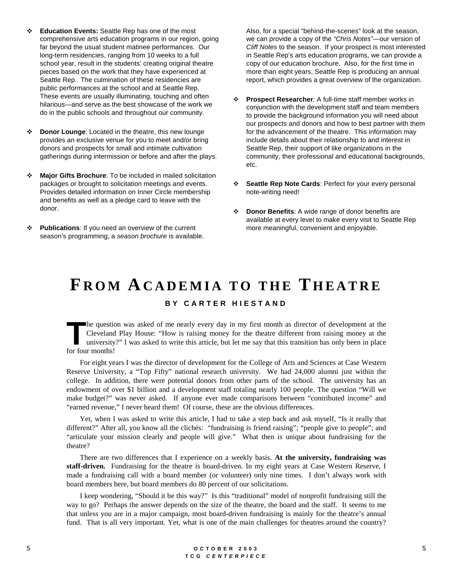- ! **Education Events:** Seattle Rep has one of the most comprehensive arts education programs in our region, going far beyond the usual student matinee performances. Our long-term residencies, ranging from 10 weeks to a full school year, result in the students' creating original theatre pieces based on the work that they have experienced at Seattle Rep. The culmination of these residencies are public performances at the school and at Seattle Rep. These events are usually illuminating, touching and often hilarious—and serve as the best showcase of the work we do in the public schools and throughout our community.
- ! **Donor Lounge**: Located in the theatre, this new lounge provides an exclusive venue for you to meet and/or bring donors and prospects for small and intimate cultivation gatherings during intermission or before and after the plays.
- **\*** Major Gifts Brochure: To be included in mailed solicitation packages or brought to solicitation meetings and events. Provides detailed information on Inner Circle membership and benefits as well as a pledge card to leave with the donor.
- **\*** Publications: If you need an overview of the current season's programming, a season brochure is available.

Also, for a special "behind-the-scenes" look at the season, we can provide a copy of the "Chris Notes"—our version of Cliff Notes to the season. If your prospect is most interested in Seattle Rep's arts education programs, we can provide a copy of our education brochure. Also, for the first time in more than eight years, Seattle Rep is producing an annual report, which provides a great overview of the organization.

- ! **Prospect Researcher**: A full-time staff member works in conjunction with the development staff and team members to provide the background information you will need about our prospects and donors and how to best partner with them for the advancement of the theatre. This information may include details about their relationship to and interest in Seattle Rep, their support of like organizations in the community, their professional and educational backgrounds, etc.
- **Seattle Rep Note Cards: Perfect for your every personal** note-writing need!
- **\*** Donor Benefits: A wide range of donor benefits are available at every level to make every visit to Seattle Rep more meaningful, convenient and enjoyable.

## **F ROM ACADEMIA TO THE T HEATRE BY CARTER HIESTAND**

he question was asked of me nearly every day in my first month as director of development at the Cleveland Play House: "How is raising money for the theatre different from raising money at the university?" I was asked to write this article, but let me say that this transition has only been in place **FR**<br>**The question**<br>**The contract of the months!** 

For eight years I was the director of development for the College of Arts and Sciences at Case Western Reserve University, a "Top Fifty" national research university. We had 24,000 alumni just within the college. In addition, there were potential donors from other parts of the school. The university has an endowment of over \$1 billion and a development staff totaling nearly 100 people. The question "Will we make budget?" was never asked. If anyone ever made comparisons between "contributed income" and "earned revenue," I never heard them! Of course, these are the obvious differences.

Yet, when I was asked to write this article, I had to take a step back and ask myself, "Is it really that different?" After all, you know all the clichés: "fundraising is friend raising"; "people give to people"; and "articulate your mission clearly and people will give." What then is unique about fundraising for the theatre?

There are two differences that I experience on a weekly basis. **At the university, fundraising was staff-driven.** Fundraising for the theatre is board-driven. In my eight years at Case Western Reserve, I made a fundraising call with a board member (or volunteer) only nine times. I don't always work with board members here, but board members do 80 percent of our solicitations.

I keep wondering, "Should it be this way?" Is this "traditional" model of nonprofit fundraising still the way to go? Perhaps the answer depends on the size of the theatre, the board and the staff. It seems to me that unless you are in a major campaign, most board-driven fundraising is mainly for the theatre's annual fund. That is all very important. Yet, what is one of the main challenges for theatres around the country?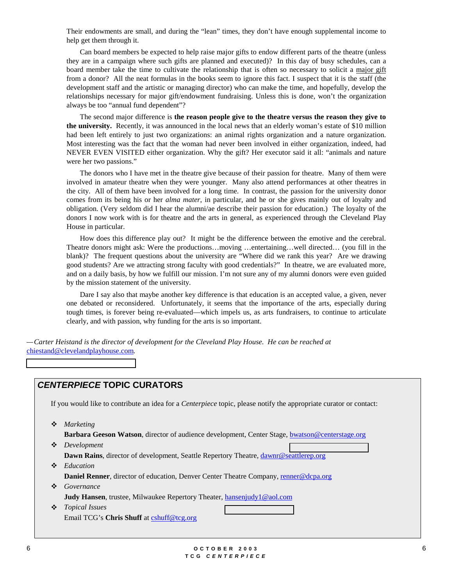Their endowments are small, and during the "lean" times, they don't have enough supplemental income to help get them through it.

Can board members be expected to help raise major gifts to endow different parts of the theatre (unless they are in a campaign where such gifts are planned and executed)? In this day of busy schedules, can a board member take the time to cultivate the relationship that is often so necessary to solicit a major gift from a donor? All the neat formulas in the books seem to ignore this fact. I suspect that it is the staff (the development staff and the artistic or managing director) who can make the time, and hopefully, develop the relationships necessary for major gift/endowment fundraising. Unless this is done, won't the organization always be too "annual fund dependent"?

The second major difference is **the reason people give to the theatre versus the reason they give to the university.** Recently, it was announced in the local news that an elderly woman's estate of \$10 million had been left entirely to just two organizations: an animal rights organization and a nature organization. Most interesting was the fact that the woman had never been involved in either organization, indeed, had NEVER EVEN VISITED either organization. Why the gift? Her executor said it all: "animals and nature were her two passions."

The donors who I have met in the theatre give because of their passion for theatre. Many of them were involved in amateur theatre when they were younger. Many also attend performances at other theatres in the city. All of them have been involved for a long time. In contrast, the passion for the university donor comes from its being his or her *alma mater*, in particular, and he or she gives mainly out of loyalty and obligation. (Very seldom did I hear the alumni/ae describe their passion for education.) The loyalty of the donors I now work with is for theatre and the arts in general, as experienced through the Cleveland Play House in particular.

How does this difference play out? It might be the difference between the emotive and the cerebral. Theatre donors might ask: Were the productions…moving …entertaining…well directed… (you fill in the blank)? The frequent questions about the university are "Where did we rank this year? Are we drawing good students? Are we attracting strong faculty with good credentials?" In theatre, we are evaluated more, and on a daily basis, by how we fulfill our mission. I'm not sure any of my alumni donors were even guided by the mission statement of the university.

Dare I say also that maybe another key difference is that education is an accepted value, a given, never one debated or reconsidered. Unfortunately, it seems that the importance of the arts, especially during tough times, is forever being re-evaluated—which impels us, as arts fundraisers, to continue to articulate clearly, and with passion, why funding for the arts is so important.

*—Carter Heistand is the director of development for the Cleveland Play House. He can be reached at* chiestand@clevelandplayhouse.com*.*

### **CENTERPIECE TOPIC CURATORS**

If you would like to contribute an idea for a *Centerpiece* topic, please notify the appropriate curator or contact:

! *Marketing*

**Barbara Geeson Watson**, director of audience development, Center Stage, bwatson@centerstage.org

- ! *Development* Dawn Rains, director of development, Seattle Repertory Theatre, dawnr@s[eattlerep.org](mailto:bwatson@centerstage.org)
- ! *Education* **Daniel Renner**, director of education, Denver Center Theatre Company, renner@dcpa.org
- ! *Governance* **Judy Hansen**, trustee, Milwaukee Repertory Theater, hansenjudy1@aol.com
- ! *Topical Issues* Email TCG's **Chris Shuff** at cshuff@tcg.org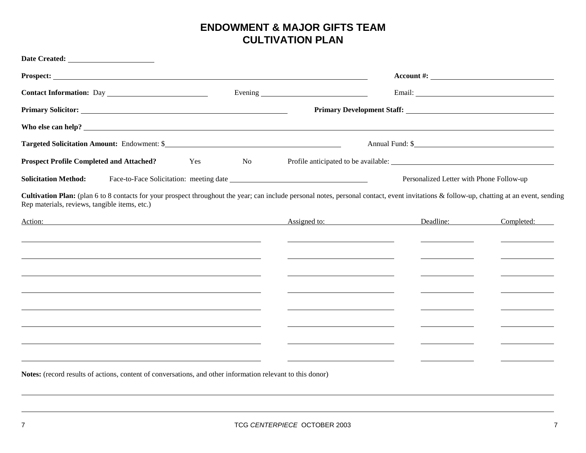## **ENDOWMENT & MAJOR GIFTS TEAMCULTIVATION PLAN**

| Primary Solicitor: New York: New York: New York: New York: New York: New York: New York: New York: New York: New York: New York: New York: New York: New York: New York: New York: New York: New York: New York: New York: New             |            |              |                                          |            |
|--------------------------------------------------------------------------------------------------------------------------------------------------------------------------------------------------------------------------------------------|------------|--------------|------------------------------------------|------------|
|                                                                                                                                                                                                                                            |            |              |                                          |            |
|                                                                                                                                                                                                                                            |            |              |                                          |            |
| <b>Prospect Profile Completed and Attached?</b>                                                                                                                                                                                            | Yes<br>No. |              |                                          |            |
| <b>Solicitation Method:</b>                                                                                                                                                                                                                |            |              | Personalized Letter with Phone Follow-up |            |
| Cultivation Plan: (plan 6 to 8 contacts for your prospect throughout the year; can include personal notes, personal contact, event invitations & follow-up, chatting at an event, sending<br>Rep materials, reviews, tangible items, etc.) |            |              |                                          |            |
| Action:                                                                                                                                                                                                                                    |            | Assigned to: | Deadline:                                | Completed: |
|                                                                                                                                                                                                                                            |            |              |                                          |            |
|                                                                                                                                                                                                                                            |            |              |                                          |            |
|                                                                                                                                                                                                                                            |            |              |                                          |            |